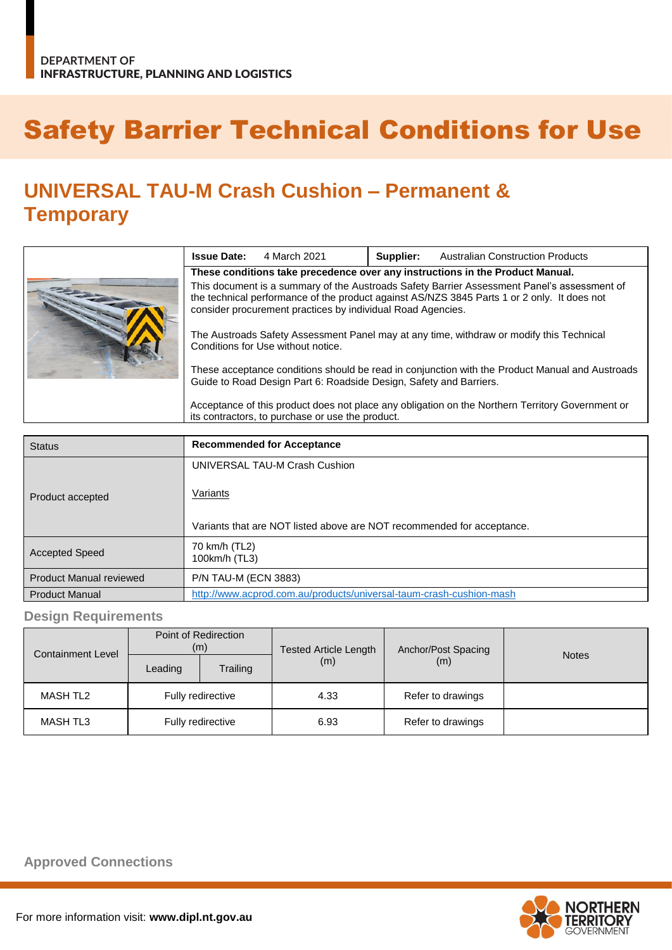## Safety Barrier Technical Conditions for Use

## **UNIVERSAL TAU-M Crash Cushion – Permanent & Temporary**

|  | <b>Issue Date:</b>                                                                                                                                                                                                                                        | 4 March 2021 | Supplier: | <b>Australian Construction Products</b> |  |
|--|-----------------------------------------------------------------------------------------------------------------------------------------------------------------------------------------------------------------------------------------------------------|--------------|-----------|-----------------------------------------|--|
|  | These conditions take precedence over any instructions in the Product Manual.                                                                                                                                                                             |              |           |                                         |  |
|  | This document is a summary of the Austroads Safety Barrier Assessment Panel's assessment of<br>the technical performance of the product against AS/NZS 3845 Parts 1 or 2 only. It does not<br>consider procurement practices by individual Road Agencies. |              |           |                                         |  |
|  | The Austroads Safety Assessment Panel may at any time, withdraw or modify this Technical<br>Conditions for Use without notice.                                                                                                                            |              |           |                                         |  |
|  | These acceptance conditions should be read in conjunction with the Product Manual and Austroads<br>Guide to Road Design Part 6: Roadside Design, Safety and Barriers.                                                                                     |              |           |                                         |  |
|  | Acceptance of this product does not place any obligation on the Northern Territory Government or<br>its contractors, to purchase or use the product.                                                                                                      |              |           |                                         |  |

| <b>Status</b>                  | <b>Recommended for Acceptance</b>                                      |
|--------------------------------|------------------------------------------------------------------------|
|                                | UNIVERSAL TAU-M Crash Cushion                                          |
| Product accepted               | Variants                                                               |
|                                | Variants that are NOT listed above are NOT recommended for acceptance. |
| <b>Accepted Speed</b>          | 70 km/h (TL2)<br>100km/h (TL3)                                         |
| <b>Product Manual reviewed</b> | <b>P/N TAU-M (ECN 3883)</b>                                            |
| <b>Product Manual</b>          | http://www.acprod.com.au/products/universal-taum-crash-cushion-mash    |

## **Design Requirements**

| <b>Containment Level</b> | Point of Redirection<br>(m) |          | <b>Tested Article Length</b> | Anchor/Post Spacing |              |
|--------------------------|-----------------------------|----------|------------------------------|---------------------|--------------|
|                          | Leading                     | Trailing | (m)                          | (m)                 | <b>Notes</b> |
| <b>MASH TL2</b>          | Fully redirective           |          | 4.33                         | Refer to drawings   |              |
| <b>MASH TL3</b>          | Fully redirective           |          | 6.93                         | Refer to drawings   |              |

**Approved Connections**